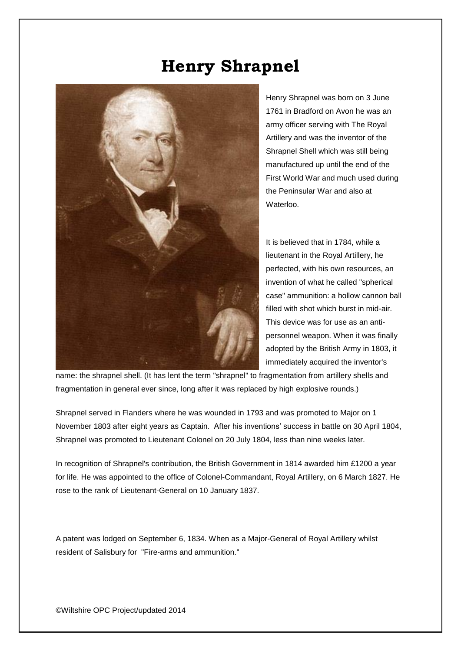## **Henry Shrapnel**



Henry Shrapnel was born on 3 June 1761 in Bradford on Avon he was an army officer serving with The Royal Artillery and was the inventor of the Shrapnel Shell which was still being manufactured up until the end of the First World War and much used during the Peninsular War and also at Waterloo.

It is believed that in 1784, while a lieutenant in the Royal Artillery, he perfected, with his own resources, an invention of what he called "spherical case" ammunition: a hollow cannon ball filled with shot which burst in mid-air. This device was for use as an antipersonnel weapon. When it was finally adopted by the British Army in 1803, it immediately acquired the inventor's

name: the shrapnel shell. (It has lent the term "shrapnel" to fragmentation from artillery shells and fragmentation in general ever since, long after it was replaced by high explosive rounds.)

Shrapnel served in Flanders where he was wounded in 1793 and was promoted to Major on 1 November 1803 after eight years as Captain. After his inventions' success in battle on 30 April 1804, Shrapnel was promoted to Lieutenant Colonel on 20 July 1804, less than nine weeks later.

In recognition of Shrapnel's contribution, the British Government in 1814 awarded him £1200 a year for life. He was appointed to the office of Colonel-Commandant, Royal Artillery, on 6 March 1827. He rose to the rank of Lieutenant-General on 10 January 1837.

A patent was lodged on September 6, 1834. When as a Major-General of Royal Artillery whilst resident of Salisbury for "Fire-arms and ammunition."